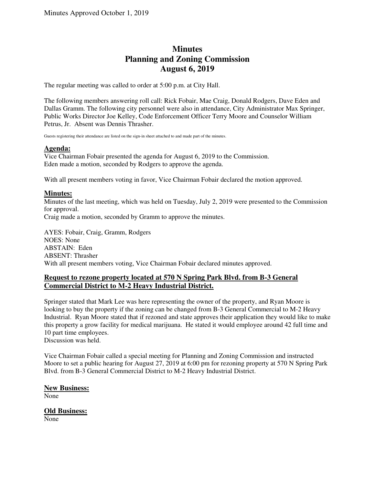# **Minutes Planning and Zoning Commission August 6, 2019**

The regular meeting was called to order at 5:00 p.m. at City Hall.

The following members answering roll call: Rick Fobair, Mae Craig, Donald Rodgers, Dave Eden and Dallas Gramm. The following city personnel were also in attendance, City Administrator Max Springer, Public Works Director Joe Kelley, Code Enforcement Officer Terry Moore and Counselor William Petrus, Jr. Absent was Dennis Thrasher.

Guests registering their attendance are listed on the sign-in sheet attached to and made part of the minutes.

#### **Agenda:**

Vice Chairman Fobair presented the agenda for August 6, 2019 to the Commission. Eden made a motion, seconded by Rodgers to approve the agenda.

With all present members voting in favor, Vice Chairman Fobair declared the motion approved.

#### **Minutes:**

Minutes of the last meeting, which was held on Tuesday, July 2, 2019 were presented to the Commission for approval.

Craig made a motion, seconded by Gramm to approve the minutes.

AYES: Fobair, Craig, Gramm, Rodgers NOES: None ABSTAIN: Eden ABSENT: Thrasher With all present members voting, Vice Chairman Fobair declared minutes approved.

## **Request to rezone property located at 570 N Spring Park Blvd. from B-3 General Commercial District to M-2 Heavy Industrial District.**

Springer stated that Mark Lee was here representing the owner of the property, and Ryan Moore is looking to buy the property if the zoning can be changed from B-3 General Commercial to M-2 Heavy Industrial. Ryan Moore stated that if rezoned and state approves their application they would like to make this property a grow facility for medical marijuana. He stated it would employee around 42 full time and 10 part time employees.

Discussion was held.

Vice Chairman Fobair called a special meeting for Planning and Zoning Commission and instructed Moore to set a public hearing for August 27, 2019 at 6:00 pm for rezoning property at 570 N Spring Park Blvd. from B-3 General Commercial District to M-2 Heavy Industrial District.

#### **New Business:**

None

## **Old Business:**

None